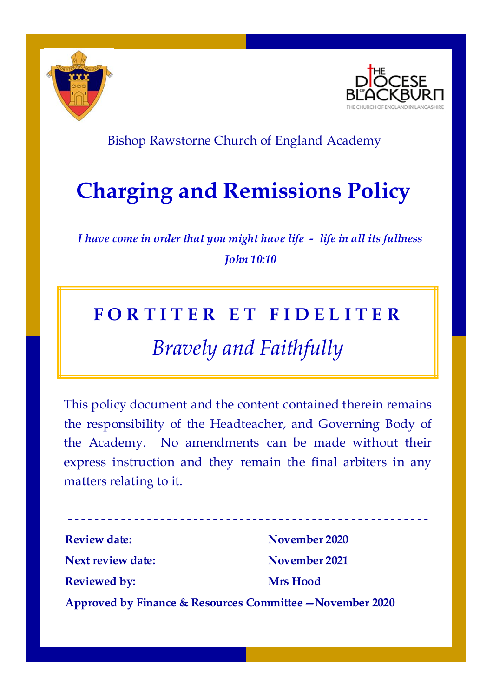



### Bishop Rawstorne Church of England Academy

# **Charging and Remissions Policy**

*I have come in order that you might have life - life in all its fullness John 10:10*

### **F O R T I T E R E T F I D E L I T E R**

## *Bravely and Faithfully*

This policy document and the content contained therein remains the responsibility of the Headteacher, and Governing Body of the Academy. No amendments can be made without their express instruction and they remain the final arbiters in any matters relating to it.

**- - - - - - - - - - - - - - - - - - - - - - - - - - - - - - - - - - - - - - - - - - - - - - - - - - - - - - - Review date:** November 2020 **Next review date: November 2021 Reviewed by: Mrs Hood Approved by Finance & Resources Committee—November 2020**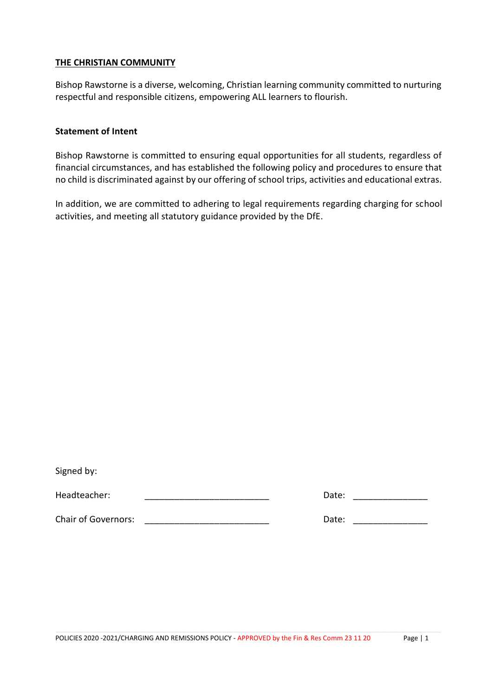#### **THE CHRISTIAN COMMUNITY**

Bishop Rawstorne is a diverse, welcoming, Christian learning community committed to nurturing respectful and responsible citizens, empowering ALL learners to flourish.

#### **Statement of Intent**

Bishop Rawstorne is committed to ensuring equal opportunities for all students, regardless of financial circumstances, and has established the following policy and procedures to ensure that no child is discriminated against by our offering of school trips, activities and educational extras.

In addition, we are committed to adhering to legal requirements regarding charging for school activities, and meeting all statutory guidance provided by the DfE.

| Signed by: |  |
|------------|--|
|------------|--|

Headteacher: \_\_\_\_\_\_\_\_\_\_\_\_\_\_\_\_\_\_\_\_\_\_\_\_\_ Date: \_\_\_\_\_\_\_\_\_\_\_\_\_\_\_

Chair of Governors: **Example 20**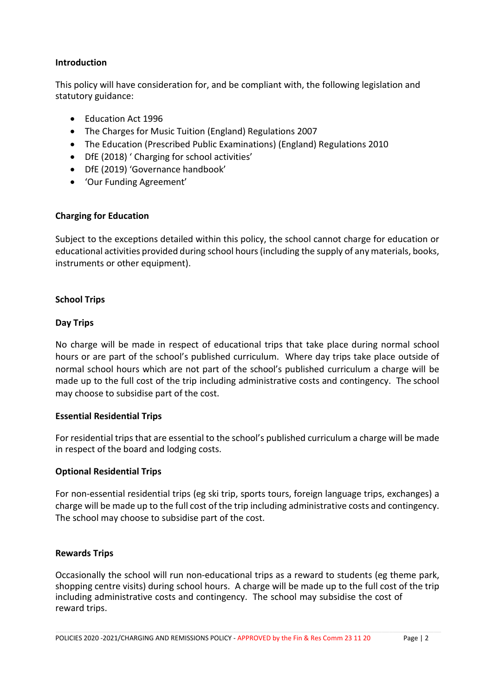#### **Introduction**

This policy will have consideration for, and be compliant with, the following legislation and statutory guidance:

- Education Act 1996
- The Charges for Music Tuition (England) Regulations 2007
- The Education (Prescribed Public Examinations) (England) Regulations 2010
- DfE (2018) ' Charging for school activities'
- DfE (2019) 'Governance handbook'
- 'Our Funding Agreement'

#### **Charging for Education**

Subject to the exceptions detailed within this policy, the school cannot charge for education or educational activities provided during school hours(including the supply of any materials, books, instruments or other equipment).

#### **School Trips**

#### **Day Trips**

No charge will be made in respect of educational trips that take place during normal school hours or are part of the school's published curriculum. Where day trips take place outside of normal school hours which are not part of the school's published curriculum a charge will be made up to the full cost of the trip including administrative costs and contingency. The school may choose to subsidise part of the cost.

#### **Essential Residential Trips**

For residential trips that are essential to the school's published curriculum a charge will be made in respect of the board and lodging costs.

#### **Optional Residential Trips**

For non-essential residential trips (eg ski trip, sports tours, foreign language trips, exchanges) a charge will be made up to the full cost of the trip including administrative costs and contingency. The school may choose to subsidise part of the cost.

#### **Rewards Trips**

Occasionally the school will run non-educational trips as a reward to students (eg theme park, shopping centre visits) during school hours. A charge will be made up to the full cost of the trip including administrative costs and contingency. The school may subsidise the cost of reward trips.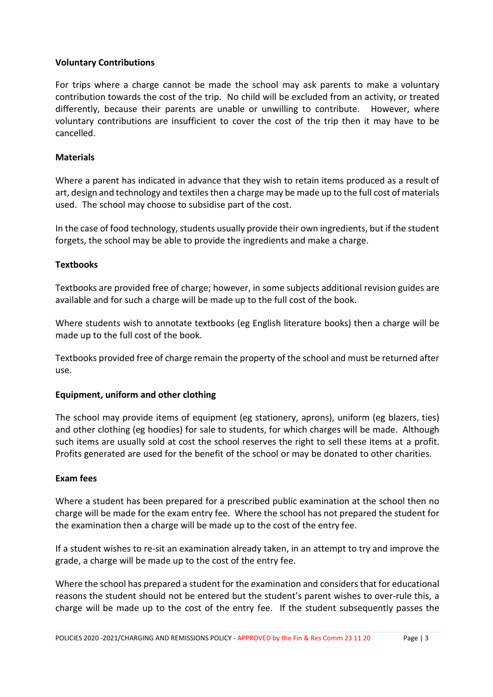#### **Voluntary Contributions**

For trips where a charge cannot be made the school may ask parents to make a voluntary contribution towards the cost of the trip. No child will be excluded from an activity, or treated differently, because their parents are unable or unwilling to contribute. However, where voluntary contributions are insufficient to cover the cost of the trip then it may have to be cancelled.

#### **Materials**

Where a parent has indicated in advance that they wish to retain items produced as a result of art, design and technology and textiles then a charge may be made up to the full cost of materials used. The school may choose to subsidise part of the cost.

In the case of food technology, students usually provide their own ingredients, but if the student forgets, the school may be able to provide the ingredients and make a charge.

#### **Textbooks**

Textbooks are provided free of charge; however, in some subjects additional revision guides are available and for such a charge will be made up to the full cost of the book.

Where students wish to annotate textbooks (eg English literature books) then a charge will be made up to the full cost of the book.

Textbooks provided free of charge remain the property of the school and must be returned after use.

#### **Equipment, uniform and other clothing**

The school may provide items of equipment (eg stationery, aprons), uniform (eg blazers, ties) and other clothing (eg hoodies) for sale to students, for which charges will be made. Although such items are usually sold at cost the school reserves the right to sell these items at a profit. Profits generated are used for the benefit of the school or may be donated to other charities.

#### **Exam fees**

Where a student has been prepared for a prescribed public examination at the school then no charge will be made for the exam entry fee. Where the school has not prepared the student for the examination then a charge will be made up to the cost of the entry fee.

If a student wishes to re-sit an examination already taken, in an attempt to try and improve the grade, a charge will be made up to the cost of the entry fee.

Where the school has prepared a student for the examination and considersthat for educational reasons the student should not be entered but the student's parent wishes to over-rule this, a charge will be made up to the cost of the entry fee. If the student subsequently passes the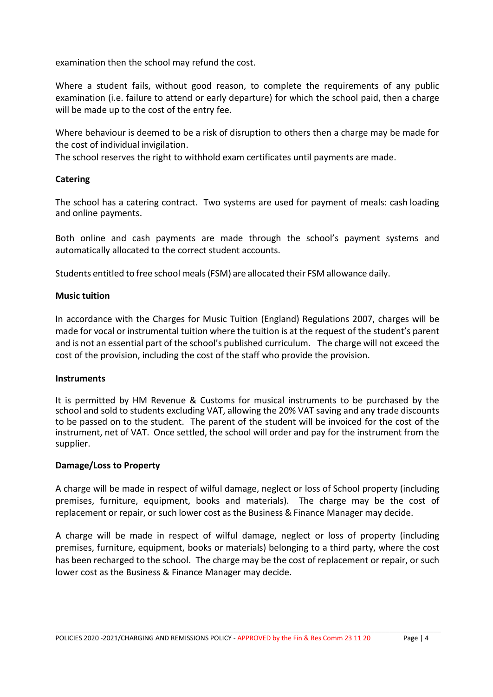examination then the school may refund the cost.

Where a student fails, without good reason, to complete the requirements of any public examination (i.e. failure to attend or early departure) for which the school paid, then a charge will be made up to the cost of the entry fee.

Where behaviour is deemed to be a risk of disruption to others then a charge may be made for the cost of individual invigilation.

The school reserves the right to withhold exam certificates until payments are made.

#### **Catering**

The school has a catering contract. Two systems are used for payment of meals: cash loading and online payments.

Both online and cash payments are made through the school's payment systems and automatically allocated to the correct student accounts.

Students entitled to free school meals(FSM) are allocated their FSM allowance daily.

#### **Music tuition**

In accordance with the Charges for Music Tuition (England) Regulations 2007, charges will be made for vocal or instrumental tuition where the tuition is at the request of the student's parent and is not an essential part of the school's published curriculum. The charge will not exceed the cost of the provision, including the cost of the staff who provide the provision.

#### **Instruments**

It is permitted by HM Revenue & Customs for musical instruments to be purchased by the school and sold to students excluding VAT, allowing the 20% VAT saving and any trade discounts to be passed on to the student. The parent of the student will be invoiced for the cost of the instrument, net of VAT. Once settled, the school will order and pay for the instrument from the supplier.

#### **Damage/Loss to Property**

A charge will be made in respect of wilful damage, neglect or loss of School property (including premises, furniture, equipment, books and materials). The charge may be the cost of replacement or repair, or such lower cost as the Business & Finance Manager may decide.

A charge will be made in respect of wilful damage, neglect or loss of property (including premises, furniture, equipment, books or materials) belonging to a third party, where the cost has been recharged to the school. The charge may be the cost of replacement or repair, or such lower cost as the Business & Finance Manager may decide.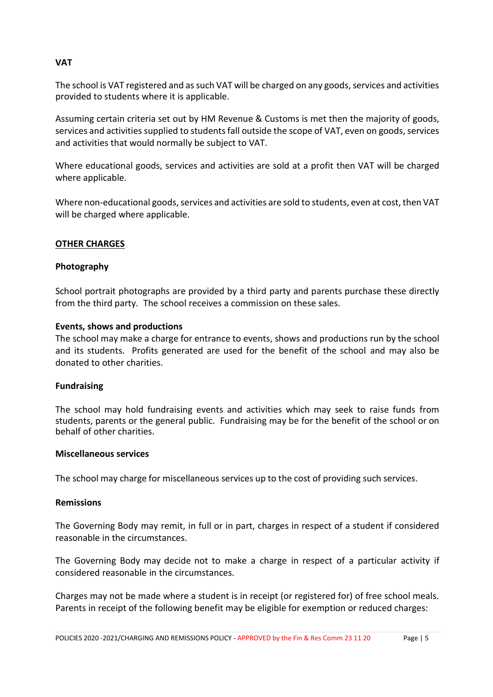#### **VAT**

The school is VAT registered and as such VAT will be charged on any goods, services and activities provided to students where it is applicable.

Assuming certain criteria set out by HM Revenue & Customs is met then the majority of goods, services and activities supplied to students fall outside the scope of VAT, even on goods, services and activities that would normally be subject to VAT.

Where educational goods, services and activities are sold at a profit then VAT will be charged where applicable.

Where non-educational goods, services and activities are sold to students, even at cost, then VAT will be charged where applicable.

#### **OTHER CHARGES**

#### **Photography**

School portrait photographs are provided by a third party and parents purchase these directly from the third party. The school receives a commission on these sales.

#### **Events, shows and productions**

The school may make a charge for entrance to events, shows and productions run by the school and its students. Profits generated are used for the benefit of the school and may also be donated to other charities.

#### **Fundraising**

The school may hold fundraising events and activities which may seek to raise funds from students, parents or the general public. Fundraising may be for the benefit of the school or on behalf of other charities.

#### **Miscellaneous services**

The school may charge for miscellaneous services up to the cost of providing such services.

#### **Remissions**

The Governing Body may remit, in full or in part, charges in respect of a student if considered reasonable in the circumstances.

The Governing Body may decide not to make a charge in respect of a particular activity if considered reasonable in the circumstances.

Charges may not be made where a student is in receipt (or registered for) of free school meals. Parents in receipt of the following benefit may be eligible for exemption or reduced charges: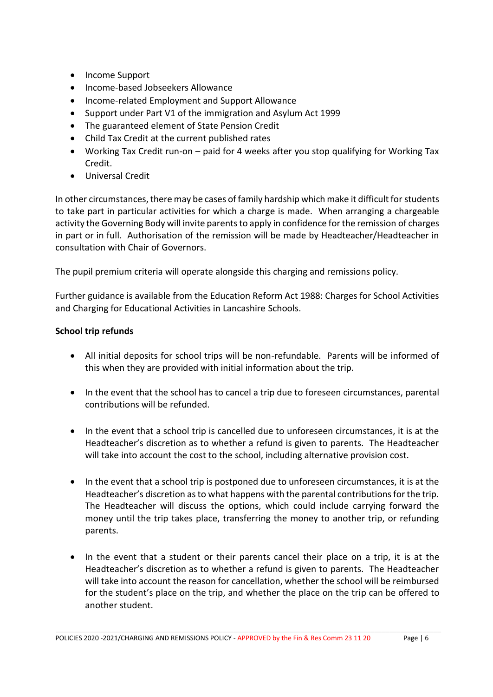- Income Support
- Income-based Jobseekers Allowance
- Income-related Employment and Support Allowance
- Support under Part V1 of the immigration and Asylum Act 1999
- The guaranteed element of State Pension Credit
- Child Tax Credit at the current published rates
- Working Tax Credit run-on paid for 4 weeks after you stop qualifying for Working Tax Credit.
- Universal Credit

In other circumstances, there may be cases of family hardship which make it difficult for students to take part in particular activities for which a charge is made. When arranging a chargeable activity the Governing Body will invite parents to apply in confidence for the remission of charges in part or in full. Authorisation of the remission will be made by Headteacher/Headteacher in consultation with Chair of Governors.

The pupil premium criteria will operate alongside this charging and remissions policy.

Further guidance is available from the Education Reform Act 1988: Charges for School Activities and Charging for Educational Activities in Lancashire Schools.

#### **School trip refunds**

- All initial deposits for school trips will be non-refundable. Parents will be informed of this when they are provided with initial information about the trip.
- In the event that the school has to cancel a trip due to foreseen circumstances, parental contributions will be refunded.
- In the event that a school trip is cancelled due to unforeseen circumstances, it is at the Headteacher's discretion as to whether a refund is given to parents. The Headteacher will take into account the cost to the school, including alternative provision cost.
- In the event that a school trip is postponed due to unforeseen circumstances, it is at the Headteacher's discretion as to what happens with the parental contributions for the trip. The Headteacher will discuss the options, which could include carrying forward the money until the trip takes place, transferring the money to another trip, or refunding parents.
- In the event that a student or their parents cancel their place on a trip, it is at the Headteacher's discretion as to whether a refund is given to parents. The Headteacher will take into account the reason for cancellation, whether the school will be reimbursed for the student's place on the trip, and whether the place on the trip can be offered to another student.